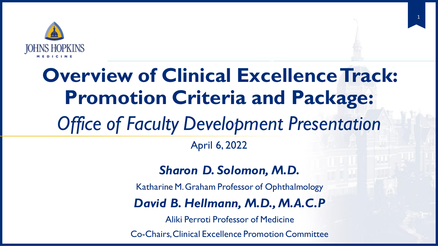

## 0 **Overview of Clinical Excellence Track: Promotion Criteria and Package:**

1

# *Office of Faculty Development Presentation*

### April 6, 2022

### *Sharon D. Solomon, M.D.*

Katharine M. Graham Professor of Ophthalmology

### *David B. Hellmann, M.D., M.A.C.P*

Aliki Perroti Professor of Medicine

Co-Chairs, Clinical Excellence Promotion Committee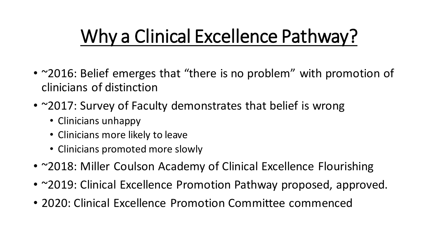# Why a Clinical Excellence Pathway?

- ~2016: Belief emerges that "there is no problem" with promotion of clinicians of distinction
- ~2017: Survey of Faculty demonstrates that belief is wrong
	- Clinicians unhappy
	- Clinicians more likely to leave
	- Clinicians promoted more slowly
- ~2018: Miller Coulson Academy of Clinical Excellence Flourishing
- ~2019: Clinical Excellence Promotion Pathway proposed, approved.
- 2020: Clinical Excellence Promotion Committee commenced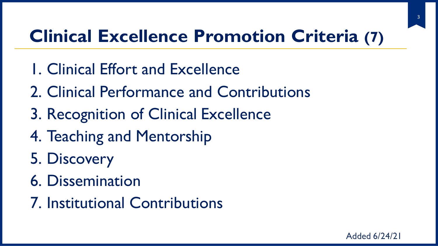# **Clinical Excellence Promotion Criteria (7)**

- 1. Clinical Effort and Excellence
- 2. Clinical Performance and Contributions
- 3. Recognition of Clinical Excellence
- 4. Teaching and Mentorship
- 5. Discovery
- 6. Dissemination
- 7. Institutional Contributions

3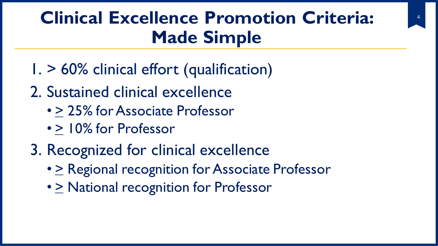# **Clinical Excellence Promotion Criteria: Made Simple**

- 1. > 60% clinical effort (qualification)
- 2. Sustained clinical excellence
	- > 25% for Associate Professor
	- > 10% for Professor
- 3. Recognized for clinical excellence
	- $\geq$  Regional recognition for Associate Professor
	- $\geq$  National recognition for Professor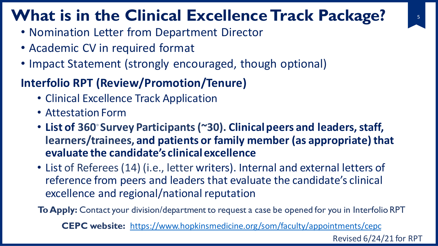## **What is in the Clinical Excellence Track Package?**

- Nomination Letter from Department Director
- Academic CV in required format
- Impact Statement (strongly encouraged, though optional)

## **Interfolio RPT (Review/Promotion/Tenure)**

- Clinical Excellence Track Application
- Attestation Form
- **List of 360◦Survey Participants (~30). Clinical peers and leaders, staff, learners/trainees, and patients or family member (as appropriate) that evaluate the candidate's clinical excellence**
- List of Referees (14) (i.e., letter writers). Internal and external letters of reference from peers and leaders that evaluate the candidate's clinical excellence and regional/national reputation

**To Apply:** Contact your division/department to request a case be opened for you in Interfolio RPT

**CEPC website:** <https://www.hopkinsmedicine.org/som/faculty/appointments/cepc>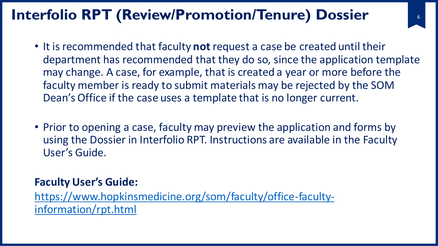## **Interfolio RPT (Review/Promotion/Tenure) Dossier**

- It is recommended that faculty **not** request a case be created until their department has recommended that they do so, since the application template may change. A case, for example, that is created a year or more before the faculty member is ready to submit materials may be rejected by the SOM Dean's Office if the case uses a template that is no longer current.
- Prior to opening a case, faculty may preview the application and forms by using the Dossier in Interfolio RPT. Instructions are available in the Faculty User's Guide.

### **Faculty User's Guide:**

[https://www.hopkinsmedicine.org/som/faculty/office-faculty](https://www.hopkinsmedicine.org/som/faculty/office-faculty-information/rpt.html)information/rpt.html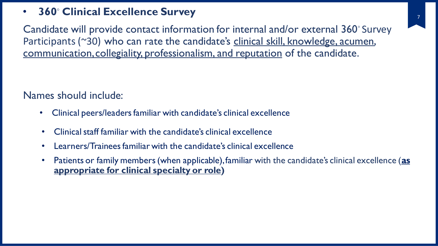### • **360◦ Clinical Excellence Survey**

Candidate will provide contact information for internal and/or external 360◦ Survey Participants (~30) who can rate the candidate's clinical skill, knowledge, acumen, communication, collegiality, professionalism, and reputation of the candidate.

### Names should include:

- Clinical peers/leaders familiar with candidate's clinical excellence
- Clinical staff familiar with the candidate's clinical excellence
- Learners/Trainees familiar with the candidate's clinical excellence
- Patients or family members (when applicable), familiar with the candidate's clinical excellence (**as appropriate for clinical specialty or role)**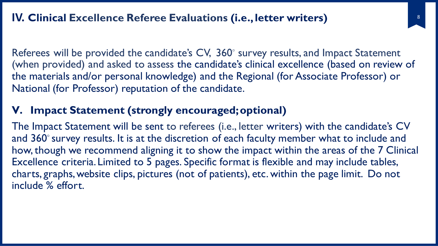Referees will be provided the candidate's CV, 360<sup>°</sup> survey results, and Impact Statement (when provided) and asked to assess the candidate's clinical excellence (based on review of the materials and/or personal knowledge) and the Regional (for Associate Professor) or National (for Professor) reputation of the candidate.

### **V. Impact Statement (strongly encouraged; optional)**

The Impact Statement will be sent to referees (i.e., letter writers) with the candidate's CV and 360**◦** survey results. It is at the discretion of each faculty member what to include and how, though we recommend aligning it to show the impact within the areas of the 7 Clinical Excellence criteria. Limited to 5 pages. Specific format is flexible and may include tables, charts, graphs, website clips, pictures (not of patients), etc. within the page limit. Do not include % effort.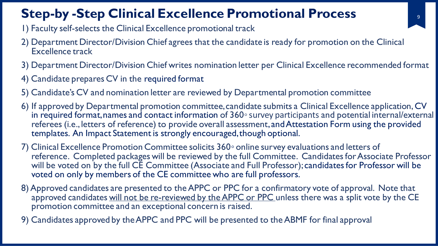## **Step-by -Step Clinical Excellence Promotional Process**

- 1) Faculty self-selects the Clinical Excellence promotional track
- 2) Department Director/Division Chief agrees that the candidate is ready for promotion on the Clinical Excellence track
- 3) Department Director/Division Chief writes nomination letter per Clinical Excellence recommended format
- 4) Candidate prepares CV in the required format
- 5) Candidate's CV and nomination letter are reviewed by Departmental promotion committee
- 6) If approved by Departmental promotion committee, candidate submits a Clinical Excellence application, CV in required format, names and contact information of 360∘ survey participants and potential internal/external referees (i.e., letters of reference) to provide overall assessment, and Attestation Form using the provided templates. An Impact Statement is strongly encouraged, though optional.
- 7) Clinical Excellence Promotion Committee solicits 360◦ online survey evaluations and letters of reference. Completed packages will be reviewed by the full Committee. Candidates for Associate Professor will be voted on by the full CE Committee (Associate and Full Professor); candidates for Professor will be voted on only by members of the CE committee who are full professors.
- 8) Approved candidates are presented to the APPC or PPC for a confirmatory vote of approval. Note that approved candidates will not be re-reviewed by the APPC or PPC unless there was a split vote by the CE promotion committee and an exceptional concern is raised.
- 9) Candidates approved by the APPC and PPC will be presented to the ABMF for final approval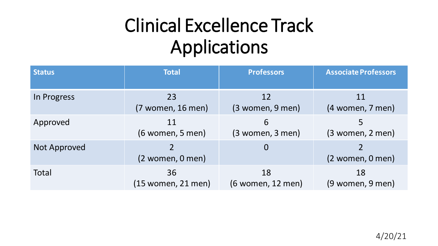# Clinical Excellence Track Applications

| <b>Status</b> | <b>Total</b>         | <b>Professors</b>    | <b>Associate Professors</b> |
|---------------|----------------------|----------------------|-----------------------------|
| In Progress   | 23                   | 12                   | 11                          |
|               | $(7$ women, 16 men)  | $(3$ women, 9 men)   | (4 women, 7 men)            |
| Approved      | 11                   | 6                    | 5                           |
|               | $(6$ women, 5 men)   | $(3$ women, $3$ men) | $(3$ women, $2$ men)        |
| Not Approved  | $(2$ women, $0$ men) | $\overline{0}$       | $(2$ women, $0$ men)        |
| Total         | 36                   | 18                   | 18                          |
|               | (15 women, 21 men)   | (6 women, 12 men)    | (9 women, 9 men)            |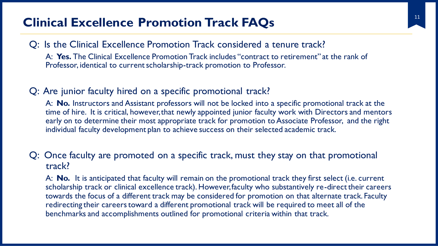## <sup>11</sup> **Clinical Excellence Promotion Track FAQs**

### Q: Is the Clinical Excellence Promotion Track considered a tenure track?

A: **Yes.** The Clinical Excellence Promotion Track includes "contract to retirement" at the rank of Professor, identical to current scholarship-track promotion to Professor.

### Q: Are junior faculty hired on a specific promotional track?

A: **No.** Instructors and Assistant professors will not be locked into a specific promotional track at the time of hire. It is critical, however, that newly appointed junior faculty work with Directors and mentors early on to determine their most appropriate track for promotion to Associate Professor, and the right individual faculty development plan to achieve success on their selected academic track.

#### Q: Once faculty are promoted on a specific track, must they stay on that promotional track?

A: **No.** It is anticipated that faculty will remain on the promotional track they first select (i.e. current scholarship track or clinical excellence track). However, faculty who substantively re-direct their careers towards the focus of a different track may be considered for promotion on that alternate track. Faculty redirecting their careers toward a different promotional track will be required to meet all of the benchmarks and accomplishments outlined for promotional criteria within that track.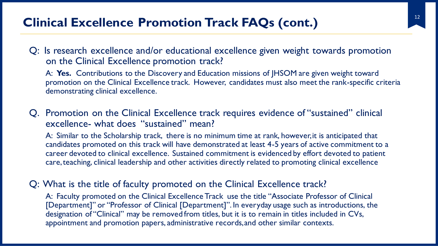## **Clinical Excellence Promotion Track FAQs (cont.)**

Q: Is research excellence and/or educational excellence given weight towards promotion on the Clinical Excellence promotion track?

A: **Yes.** Contributions to the Discovery and Education missions of JHSOM are given weight toward promotion on the Clinical Excellence track. However, candidates must also meet the rank-specific criteria demonstrating clinical excellence.

### Q. Promotion on the Clinical Excellence track requires evidence of "sustained" clinical excellence- what does "sustained" mean?

A: Similar to the Scholarship track, there is no minimum time at rank, however, it is anticipated that candidates promoted on this track will have demonstrated at least 4-5 years of active commitment to a career devoted to clinical excellence. Sustained commitment is evidenced by effort devoted to patient care, teaching, clinical leadership and other activities directly related to promoting clinical excellence

#### Q: What is the title of faculty promoted on the Clinical Excellence track?

A: Faculty promoted on the Clinical Excellence Track use the title "Associate Professor of Clinical [Department]" or "Professor of Clinical [Department]". In everyday usage such as introductions, the designation of "Clinical" may be removed from titles, but it is to remain in titles included in CVs, appointment and promotion papers, administrative records, and other similar contexts.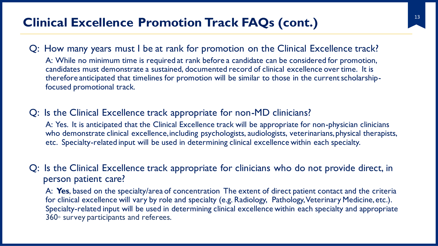## <sup>13</sup> **Clinical Excellence Promotion Track FAQs (cont.)**

#### Q: How many years must I be at rank for promotion on the Clinical Excellence track?

A: While no minimum time is required at rank before a candidate can be considered for promotion, candidates must demonstrate a sustained, documented record of clinical excellence over time. It is therefore anticipated that timelines for promotion will be similar to those in the current scholarshipfocused promotional track.

#### Q: Is the Clinical Excellence track appropriate for non-MD clinicians?

A: Yes. It is anticipated that the Clinical Excellence track will be appropriate for non-physician clinicians who demonstrate clinical excellence, including psychologists, audiologists, veterinarians, physical therapists, etc. Specialty-related input will be used in determining clinical excellence within each specialty.

### Q: Is the Clinical Excellence track appropriate for clinicians who do not provide direct, in person patient care?

A: **Yes**, based on the specialty/area of concentration The extent of direct patient contact and the criteria for clinical excellence will vary by role and specialty (e.g. Radiology, Pathology, Veterinary Medicine, etc.). Specialty-related input will be used in determining clinical excellence within each specialty and appropriate 360◦ survey participants and referees.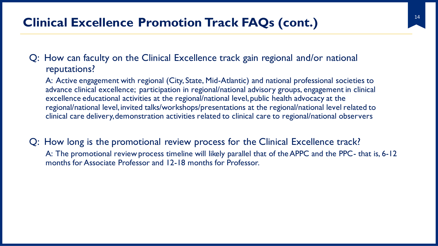## <sup>14</sup> **Clinical Excellence Promotion Track FAQs (cont.)**

Q: How can faculty on the Clinical Excellence track gain regional and/or national reputations?

A: Active engagement with regional (City, State, Mid-Atlantic) and national professional societies to advance clinical excellence; participation in regional/national advisory groups, engagement in clinical excellence educational activities at the regional/national level, public health advocacy at the regional/national level, invited talks/workshops/presentations at the regional/national level related to clinical care delivery, demonstration activities related to clinical care to regional/national observers

Q: How long is the promotional review process for the Clinical Excellence track? A: The promotional review process timeline will likely parallel that of the APPC and the PPC- that is, 6-12 months for Associate Professor and 12-18 months for Professor.